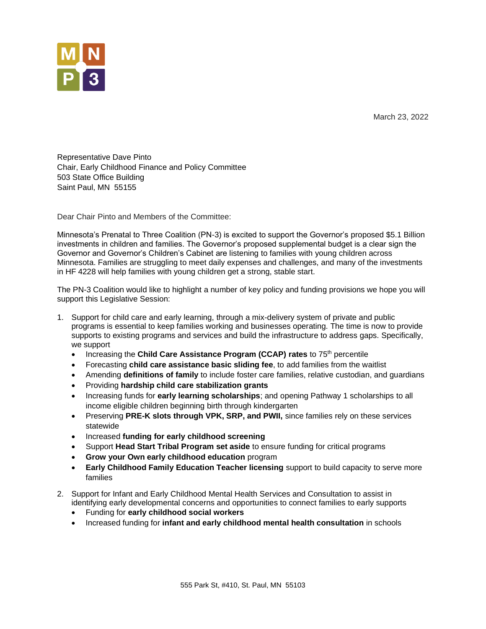March 23, 2022



Representative Dave Pinto Chair, Early Childhood Finance and Policy Committee 503 State Office Building Saint Paul, MN 55155

Dear Chair Pinto and Members of the Committee:

Minnesota's Prenatal to Three Coalition (PN-3) is excited to support the Governor's proposed \$5.1 Billion investments in children and families. The Governor's proposed supplemental budget is a clear sign the Governor and Governor's Children's Cabinet are listening to families with young children across Minnesota. Families are struggling to meet daily expenses and challenges, and many of the investments in HF 4228 will help families with young children get a strong, stable start.

The PN-3 Coalition would like to highlight a number of key policy and funding provisions we hope you will support this Legislative Session:

- 1. Support for child care and early learning, through a mix-delivery system of private and public programs is essential to keep families working and businesses operating. The time is now to provide supports to existing programs and services and build the infrastructure to address gaps. Specifically, we support
	- Increasing the **Child Care Assistance Program (CCAP) rates** to 75<sup>th</sup> percentile
	- Forecasting **child care assistance basic sliding fee**, to add families from the waitlist
	- Amending **definitions of family** to include foster care families, relative custodian, and guardians
	- Providing **hardship child care stabilization grants**
	- Increasing funds for **early learning scholarships**; and opening Pathway 1 scholarships to all income eligible children beginning birth through kindergarten
	- Preserving **PRE-K slots through VPK, SRP, and PWII,** since families rely on these services statewide
	- Increased **funding for early childhood screening**
	- Support **Head Start Tribal Program set aside** to ensure funding for critical programs
	- **Grow your Own early childhood education** program
	- **Early Childhood Family Education Teacher licensing** support to build capacity to serve more families
- 2. Support for Infant and Early Childhood Mental Health Services and Consultation to assist in identifying early developmental concerns and opportunities to connect families to early supports
	- Funding for **early childhood social workers**
	- Increased funding for **infant and early childhood mental health consultation** in schools